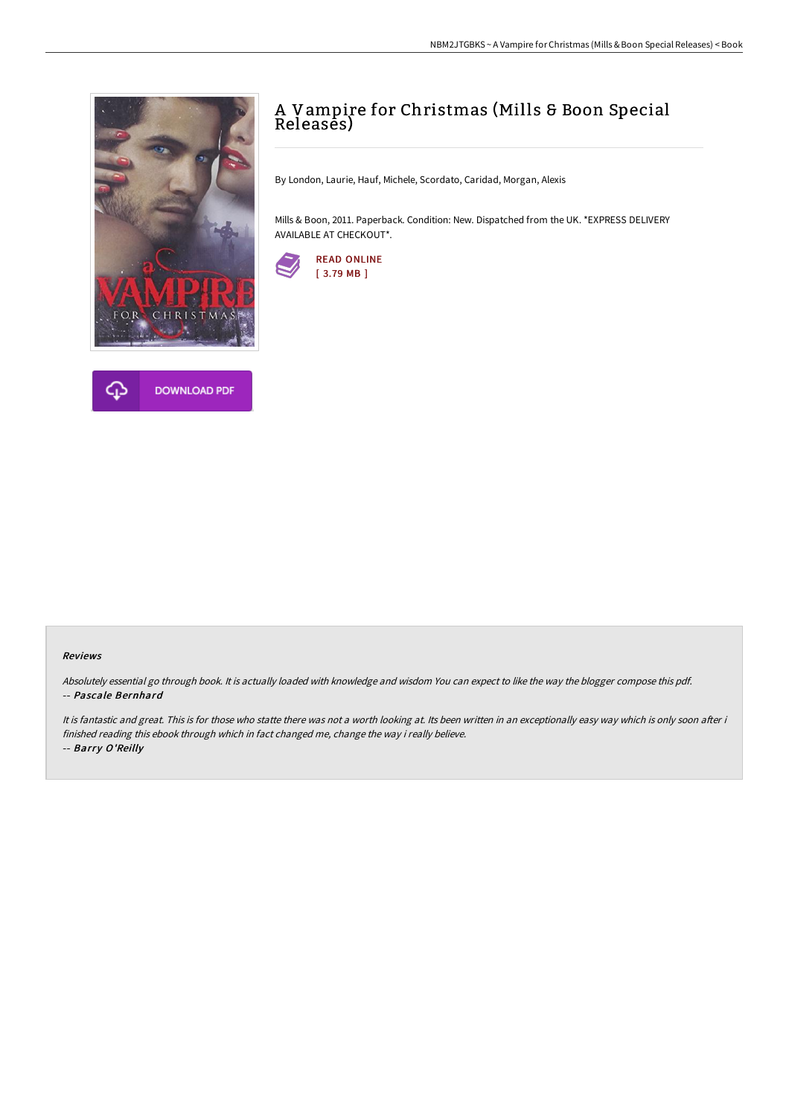



# A Vampire for Christmas (Mills & Boon Special Releasēs)

By London, Laurie, Hauf, Michele, Scordato, Caridad, Morgan, Alexis

Mills & Boon, 2011. Paperback. Condition: New. Dispatched from the UK. \*EXPRESS DELIVERY AVAILABLE AT CHECKOUT\*.



#### Reviews

Absolutely essential go through book. It is actually loaded with knowledge and wisdom You can expect to like the way the blogger compose this pdf. -- Pascale Bernhard

It is fantastic and great. This is for those who statte there was not a worth looking at. Its been written in an exceptionally easy way which is only soon after i finished reading this ebook through which in fact changed me, change the way i really believe. -- Barry O'Reilly